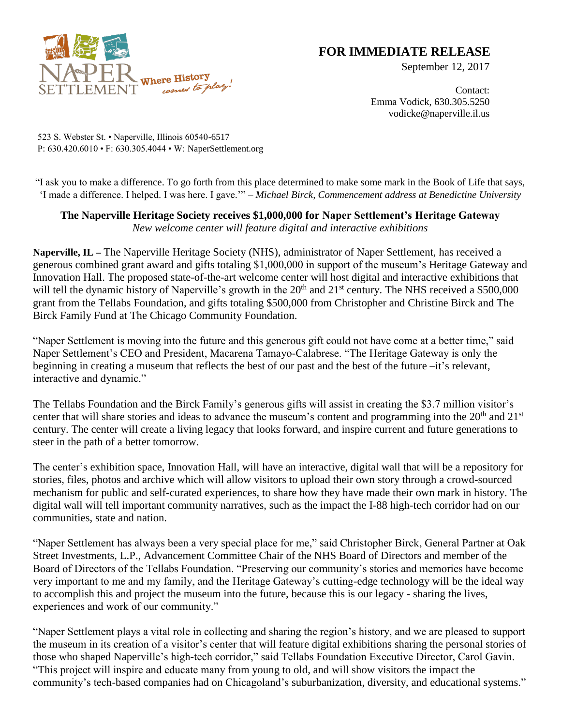

## **FOR IMMEDIATE RELEASE**

September 12, 2017

Contact: Emma Vodick, 630.305.5250 vodicke@naperville.il.us

523 S. Webster St. • Naperville, Illinois 60540-6517 P: 630.420.6010 • F: 630.305.4044 • W: NaperSettlement.org

"I ask you to make a difference. To go forth from this place determined to make some mark in the Book of Life that says, 'I made a difference. I helped. I was here. I gave.'" – *Michael Birck, Commencement address at Benedictine University*

## **The Naperville Heritage Society receives \$1,000,000 for Naper Settlement's Heritage Gateway** *New welcome center will feature digital and interactive exhibitions*

**Naperville, IL –** The Naperville Heritage Society (NHS), administrator of Naper Settlement, has received a generous combined grant award and gifts totaling \$1,000,000 in support of the museum's Heritage Gateway and Innovation Hall. The proposed state-of-the-art welcome center will host digital and interactive exhibitions that will tell the dynamic history of Naperville's growth in the  $20<sup>th</sup>$  and  $21<sup>st</sup>$  century. The NHS received a \$500,000 grant from the Tellabs Foundation, and gifts totaling \$500,000 from Christopher and Christine Birck and The Birck Family Fund at The Chicago Community Foundation.

"Naper Settlement is moving into the future and this generous gift could not have come at a better time," said Naper Settlement's CEO and President, Macarena Tamayo-Calabrese. "The Heritage Gateway is only the beginning in creating a museum that reflects the best of our past and the best of the future –it's relevant, interactive and dynamic."

The Tellabs Foundation and the Birck Family's generous gifts will assist in creating the \$3.7 million visitor's center that will share stories and ideas to advance the museum's content and programming into the 20<sup>th</sup> and 21<sup>st</sup> century. The center will create a living legacy that looks forward, and inspire current and future generations to steer in the path of a better tomorrow.

The center's exhibition space, Innovation Hall, will have an interactive, digital wall that will be a repository for stories, files, photos and archive which will allow visitors to upload their own story through a crowd-sourced mechanism for public and self-curated experiences, to share how they have made their own mark in history. The digital wall will tell important community narratives, such as the impact the I-88 high-tech corridor had on our communities, state and nation.

"Naper Settlement has always been a very special place for me," said Christopher Birck, General Partner at Oak Street Investments, L.P., Advancement Committee Chair of the NHS Board of Directors and member of the Board of Directors of the Tellabs Foundation. "Preserving our community's stories and memories have become very important to me and my family, and the Heritage Gateway's cutting-edge technology will be the ideal way to accomplish this and project the museum into the future, because this is our legacy - sharing the lives, experiences and work of our community."

"Naper Settlement plays a vital role in collecting and sharing the region's history, and we are pleased to support the museum in its creation of a visitor's center that will feature digital exhibitions sharing the personal stories of those who shaped Naperville's high-tech corridor," said Tellabs Foundation Executive Director, Carol Gavin. "This project will inspire and educate many from young to old, and will show visitors the impact the community's tech-based companies had on Chicagoland's suburbanization, diversity, and educational systems."